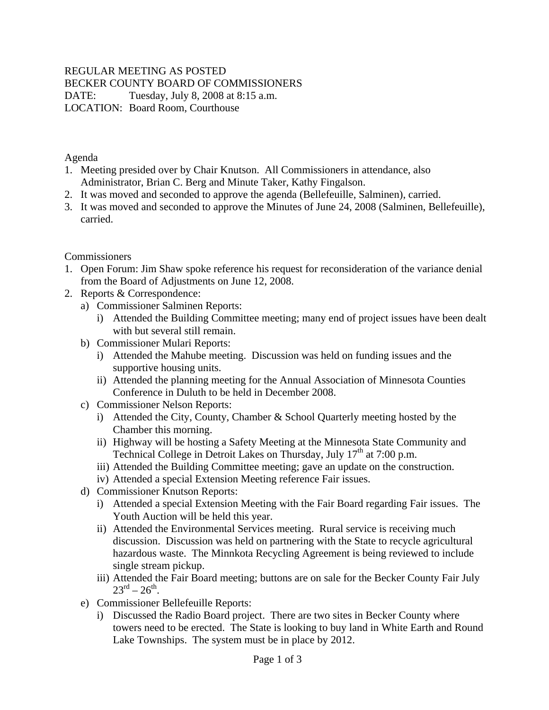## REGULAR MEETING AS POSTED

BECKER COUNTY BOARD OF COMMISSIONERS

DATE: Tuesday, July 8, 2008 at 8:15 a.m.

LOCATION: Board Room, Courthouse

Agenda

- 1. Meeting presided over by Chair Knutson. All Commissioners in attendance, also Administrator, Brian C. Berg and Minute Taker, Kathy Fingalson.
- 2. It was moved and seconded to approve the agenda (Bellefeuille, Salminen), carried.
- 3. It was moved and seconded to approve the Minutes of June 24, 2008 (Salminen, Bellefeuille), carried.

## Commissioners

- 1. Open Forum: Jim Shaw spoke reference his request for reconsideration of the variance denial from the Board of Adjustments on June 12, 2008.
- 2. Reports & Correspondence:
	- a) Commissioner Salminen Reports:
		- i) Attended the Building Committee meeting; many end of project issues have been dealt with but several still remain.
	- b) Commissioner Mulari Reports:
		- i) Attended the Mahube meeting. Discussion was held on funding issues and the supportive housing units.
		- ii) Attended the planning meeting for the Annual Association of Minnesota Counties Conference in Duluth to be held in December 2008.
	- c) Commissioner Nelson Reports:
		- i) Attended the City, County, Chamber & School Quarterly meeting hosted by the Chamber this morning.
		- ii) Highway will be hosting a Safety Meeting at the Minnesota State Community and Technical College in Detroit Lakes on Thursday, July  $17<sup>th</sup>$  at 7:00 p.m.
		- iii) Attended the Building Committee meeting; gave an update on the construction.
		- iv) Attended a special Extension Meeting reference Fair issues.
	- d) Commissioner Knutson Reports:
		- i) Attended a special Extension Meeting with the Fair Board regarding Fair issues. The Youth Auction will be held this year.
		- ii) Attended the Environmental Services meeting. Rural service is receiving much discussion. Discussion was held on partnering with the State to recycle agricultural hazardous waste. The Minnkota Recycling Agreement is being reviewed to include single stream pickup.
		- iii) Attended the Fair Board meeting; buttons are on sale for the Becker County Fair July  $23^{\text{rd}} - 26^{\text{th}}$
	- e) Commissioner Bellefeuille Reports:
		- i) Discussed the Radio Board project. There are two sites in Becker County where towers need to be erected. The State is looking to buy land in White Earth and Round Lake Townships. The system must be in place by 2012.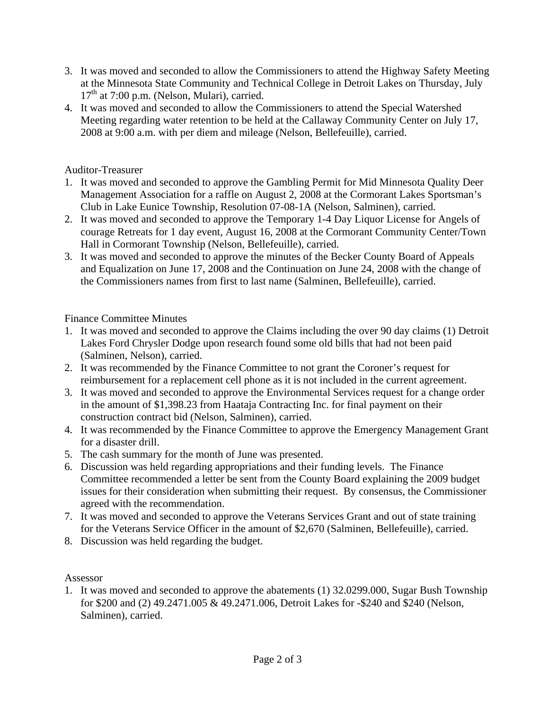- 3. It was moved and seconded to allow the Commissioners to attend the Highway Safety Meeting at the Minnesota State Community and Technical College in Detroit Lakes on Thursday, July  $17<sup>th</sup>$  at 7:00 p.m. (Nelson, Mulari), carried.
- 4. It was moved and seconded to allow the Commissioners to attend the Special Watershed Meeting regarding water retention to be held at the Callaway Community Center on July 17, 2008 at 9:00 a.m. with per diem and mileage (Nelson, Bellefeuille), carried.

Auditor-Treasurer

- 1. It was moved and seconded to approve the Gambling Permit for Mid Minnesota Quality Deer Management Association for a raffle on August 2, 2008 at the Cormorant Lakes Sportsman's Club in Lake Eunice Township, Resolution 07-08-1A (Nelson, Salminen), carried.
- 2. It was moved and seconded to approve the Temporary 1-4 Day Liquor License for Angels of courage Retreats for 1 day event, August 16, 2008 at the Cormorant Community Center/Town Hall in Cormorant Township (Nelson, Bellefeuille), carried.
- 3. It was moved and seconded to approve the minutes of the Becker County Board of Appeals and Equalization on June 17, 2008 and the Continuation on June 24, 2008 with the change of the Commissioners names from first to last name (Salminen, Bellefeuille), carried.

Finance Committee Minutes

- 1. It was moved and seconded to approve the Claims including the over 90 day claims (1) Detroit Lakes Ford Chrysler Dodge upon research found some old bills that had not been paid (Salminen, Nelson), carried.
- 2. It was recommended by the Finance Committee to not grant the Coroner's request for reimbursement for a replacement cell phone as it is not included in the current agreement.
- 3. It was moved and seconded to approve the Environmental Services request for a change order in the amount of \$1,398.23 from Haataja Contracting Inc. for final payment on their construction contract bid (Nelson, Salminen), carried.
- 4. It was recommended by the Finance Committee to approve the Emergency Management Grant for a disaster drill.
- 5. The cash summary for the month of June was presented.
- 6. Discussion was held regarding appropriations and their funding levels. The Finance Committee recommended a letter be sent from the County Board explaining the 2009 budget issues for their consideration when submitting their request. By consensus, the Commissioner agreed with the recommendation.
- 7. It was moved and seconded to approve the Veterans Services Grant and out of state training for the Veterans Service Officer in the amount of \$2,670 (Salminen, Bellefeuille), carried.
- 8. Discussion was held regarding the budget.

Assessor

1. It was moved and seconded to approve the abatements (1) 32.0299.000, Sugar Bush Township for \$200 and (2) 49.2471.005 & 49.2471.006, Detroit Lakes for -\$240 and \$240 (Nelson, Salminen), carried.